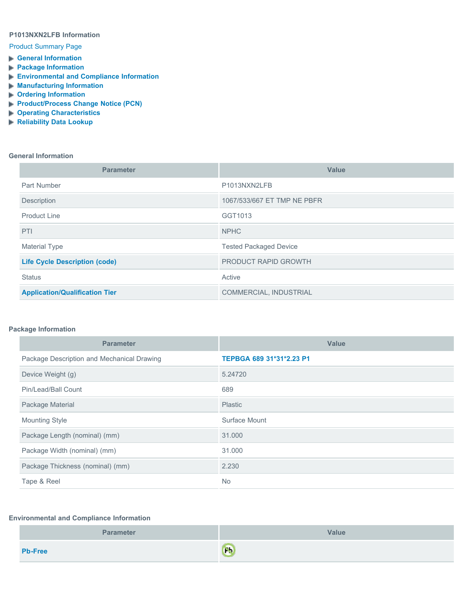## **P1013NXN2LFB Information**

### [Product Summary Page](javascript:{})

- **[General Information](#page-0-0)**
- **[Package Information](#page-0-1)**
- **[Environmental and Compliance Information](#page-0-2)**
- **[Manufacturing Information](#page-1-0)**
- **[Ordering Information](#page-1-1)**
- **[Product/Process Change Notice \(PCN\)](#page-1-2)**
- **[Operating Characteristics](#page-2-0)**
- **[Reliability Data Lookup](javascript: openReliabilitySearchTool()**

#### <span id="page-0-0"></span>**General Information**

| <b>Parameter</b>                      | Value                         |
|---------------------------------------|-------------------------------|
| Part Number                           | P1013NXN2LFB                  |
| Description                           | 1067/533/667 ET TMP NE PBFR   |
| <b>Product Line</b>                   | GGT1013                       |
| <b>PTI</b>                            | <b>NPHC</b>                   |
| <b>Material Type</b>                  | <b>Tested Packaged Device</b> |
| <b>Life Cycle Description (code)</b>  | <b>PRODUCT RAPID GROWTH</b>   |
| <b>Status</b>                         | Active                        |
| <b>Application/Qualification Tier</b> | COMMERCIAL, INDUSTRIAL        |

### <span id="page-0-1"></span>**Package Information**

| <b>Parameter</b>                           | <b>Value</b>             |
|--------------------------------------------|--------------------------|
| Package Description and Mechanical Drawing | TEPBGA 689 31*31*2.23 P1 |
| Device Weight (g)                          | 5.24720                  |
| Pin/Lead/Ball Count                        | 689                      |
| Package Material                           | <b>Plastic</b>           |
| <b>Mounting Style</b>                      | Surface Mount            |
| Package Length (nominal) (mm)              | 31,000                   |
| Package Width (nominal) (mm)               | 31.000                   |
| Package Thickness (nominal) (mm)           | 2.230                    |
| Tape & Reel                                | <b>No</b>                |

### <span id="page-0-2"></span>**Environmental and Compliance Information**

| <b>Parameter</b> | <b>Value</b> |
|------------------|--------------|
| <b>Pb-Free</b>   | $\mathbf{c}$ |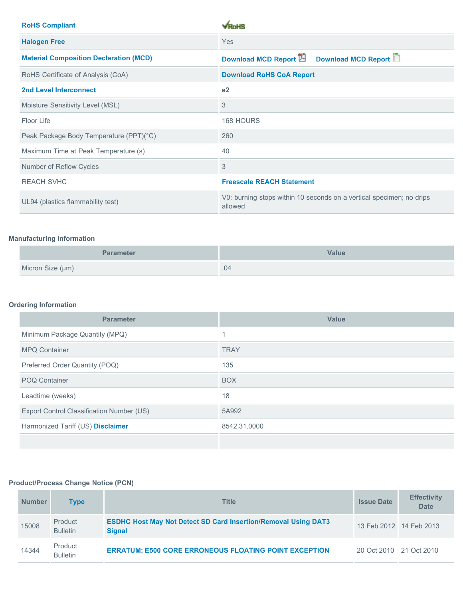| <b>RoHS Compliant</b>                         | $\sqrt{R_0}$ HS                                                                 |  |
|-----------------------------------------------|---------------------------------------------------------------------------------|--|
| <b>Halogen Free</b>                           | Yes                                                                             |  |
| <b>Material Composition Declaration (MCD)</b> | Download MCD Report<br><b>Download MCD Report</b>                               |  |
| RoHS Certificate of Analysis (CoA)            | <b>Download RoHS CoA Report</b>                                                 |  |
| <b>2nd Level Interconnect</b>                 | e <sub>2</sub>                                                                  |  |
| Moisture Sensitivity Level (MSL)              | 3                                                                               |  |
| Floor Life                                    | 168 HOURS                                                                       |  |
| Peak Package Body Temperature (PPT)(°C)       | 260                                                                             |  |
| Maximum Time at Peak Temperature (s)          | 40                                                                              |  |
| Number of Reflow Cycles                       | 3                                                                               |  |
| <b>REACH SVHC</b>                             | <b>Freescale REACH Statement</b>                                                |  |
| UL94 (plastics flammability test)             | V0: burning stops within 10 seconds on a vertical specimen; no drips<br>allowed |  |

# <span id="page-1-0"></span>**Manufacturing Information**

| <b>Parameter</b> | <b>Value</b> |
|------------------|--------------|
| Micron Size (µm) | .04          |

# <span id="page-1-1"></span>**Ordering Information**

| <b>Parameter</b>                          | <b>Value</b> |
|-------------------------------------------|--------------|
| Minimum Package Quantity (MPQ)            |              |
| <b>MPQ Container</b>                      | <b>TRAY</b>  |
| Preferred Order Quantity (POQ)            | 135          |
| <b>POQ Container</b>                      | <b>BOX</b>   |
| Leadtime (weeks)                          | 18           |
| Export Control Classification Number (US) | 5A992        |
| Harmonized Tariff (US) Disclaimer         | 8542.31.0000 |
|                                           |              |

## <span id="page-1-2"></span>**Product/Process Change Notice (PCN)**

| <b>Number</b> | Type                       | <b>Title</b>                                                                           | <b>Issue Date</b>       | <b>Effectivity</b><br><b>Date</b> |
|---------------|----------------------------|----------------------------------------------------------------------------------------|-------------------------|-----------------------------------|
| 15008         | Product<br><b>Bulletin</b> | <b>ESDHC Host May Not Detect SD Card Insertion/Removal Using DAT3</b><br><b>Signal</b> | 13 Feb 2012 14 Feb 2013 |                                   |
| 14344         | Product<br><b>Bulletin</b> | <b>ERRATUM: E500 CORE ERRONEOUS FLOATING POINT EXCEPTION</b>                           | 20 Oct 2010 21 Oct 2010 |                                   |